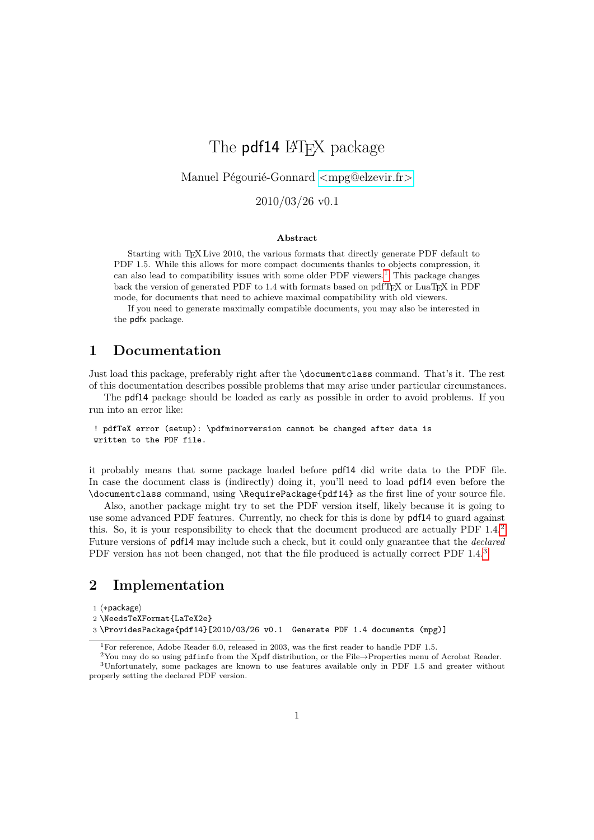# The **pdf14** LAT<sub>EX</sub> package

Manuel Pégourié-Gonnard [<mpg@elzevir.fr>](mailto:mpg@elzevir.fr)

2010/03/26 v0.1

#### **Abstract**

Starting with T<sub>E</sub>X Live 2010, the various formats that directly generate PDF default to PDF 1.5. While this allows for more compact documents thanks to objects compression, it can also lead to compatibility issues with some older PDF viewers.<sup>[1](#page-0-0)</sup> This package changes back the version of generated PDF to 1.4 with formats based on pdfTFX or LuaTFX in PDF mode, for documents that need to achieve maximal compatibility with old viewers.

If you need to generate maximally compatible documents, you may also be interested in the pdfx package.

### **1 Documentation**

Just load this package, preferably right after the \documentclass command. That's it. The rest of this documentation describes possible problems that may arise under particular circumstances.

The pdf14 package should be loaded as early as possible in order to avoid problems. If you run into an error like:

! pdfTeX error (setup): \pdfminorversion cannot be changed after data is written to the PDF file.

it probably means that some package loaded before pdf14 did write data to the PDF file. In case the document class is (indirectly) doing it, you'll need to load pdf14 even before the \documentclass command, using \RequirePackage{pdf14} as the first line of your source file.

Also, another package might try to set the PDF version itself, likely because it is going to use some advanced PDF features. Currently, no check for this is done by pdf14 to guard against this. So, it is your responsibility to check that the document produced are actually PDF 1.4.[2](#page-0-1) Future versions of pdf14 may include such a check, but it could only guarantee that the *declared* PDF version has not been changed, not that the file produced is actually correct PDF 1.4.<sup>[3](#page-0-2)</sup>

## **2 Implementation**

1 (\*package)

2 \NeedsTeXFormat{LaTeX2e}

3 \ProvidesPackage{pdf14}[2010/03/26 v0.1 Generate PDF 1.4 documents (mpg)]

<span id="page-0-2"></span><span id="page-0-1"></span><span id="page-0-0"></span><sup>&</sup>lt;sup>1</sup>For reference, Adobe Reader 6.0, released in 2003, was the first reader to handle PDF 1.5.

<sup>&</sup>lt;sup>2</sup>You may do so using pdfinfo from the Xpdf distribution, or the File→Properties menu of Acrobat Reader. <sup>3</sup>Unfortunately, some packages are known to use features available only in PDF 1.5 and greater without properly setting the declared PDF version.